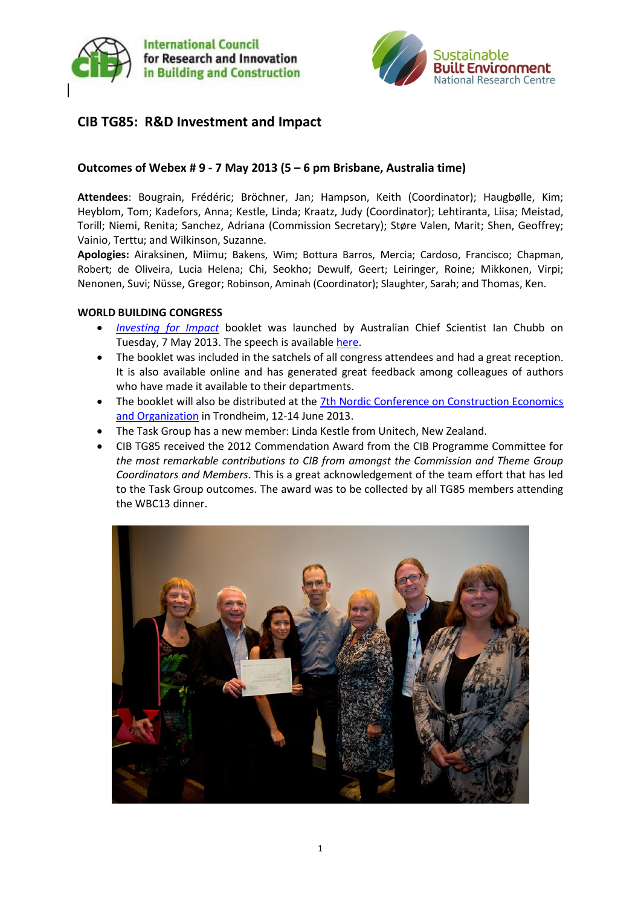



# **CIB TG85: R&D Investment and Impact**

### **Outcomes of Webex # 9 - 7 May 2013 (5 – 6 pm Brisbane, Australia time)**

**Attendees**: Bougrain, Frédéric; Bröchner, Jan; Hampson, Keith (Coordinator); Haugbølle, Kim; Heyblom, Tom; Kadefors, Anna; Kestle, Linda; Kraatz, Judy (Coordinator); Lehtiranta, Liisa; Meistad, Torill; Niemi, Renita; Sanchez, Adriana (Commission Secretary); Støre Valen, Marit; Shen, Geoffrey; Vainio, Terttu; and Wilkinson, Suzanne.

**Apologies:** Airaksinen, Miimu; Bakens, Wim; Bottura Barros, Mercia; Cardoso, Francisco; Chapman, Robert; de Oliveira, Lucia Helena; Chi, Seokho; Dewulf, Geert; Leiringer, Roine; Mikkonen, Virpi; Nenonen, Suvi; Nüsse, Gregor; Robinson, Aminah (Coordinator); Slaughter, Sarah; and Thomas, Ken.

#### **WORLD BUILDING CONGRESS**

- *[Investing for Impact](http://www.sbenrc.com.au/images/stories/mkc015_sbeinvestimpact_a4lo.pdf)* booklet was launched by Australian Chief Scientist Ian Chubb on Tuesday, 7 May 2013. The speech is availabl[e here.](http://www.chiefscientist.gov.au/2013/05/the-impact-of-research-and-development-on-construction)
- The booklet was included in the satchels of all congress attendees and had a great reception. It is also available online and has generated great feedback among colleagues of authors who have made it available to their departments.
- The booklet will also be distributed at the [7th Nordic Conference on Construction Economics](http://www.ntnu.no/7nordic)  [and Organization](http://www.ntnu.no/7nordic) in Trondheim, 12-14 June 2013.
- The Task Group has a new member: Linda Kestle from Unitech, New Zealand.
- CIB TG85 received the 2012 Commendation Award from the CIB Programme Committee for *the most remarkable contributions to CIB from amongst the Commission and Theme Group Coordinators and Members*. This is a great acknowledgement of the team effort that has led to the Task Group outcomes. The award was to be collected by all TG85 members attending the WBC13 dinner.